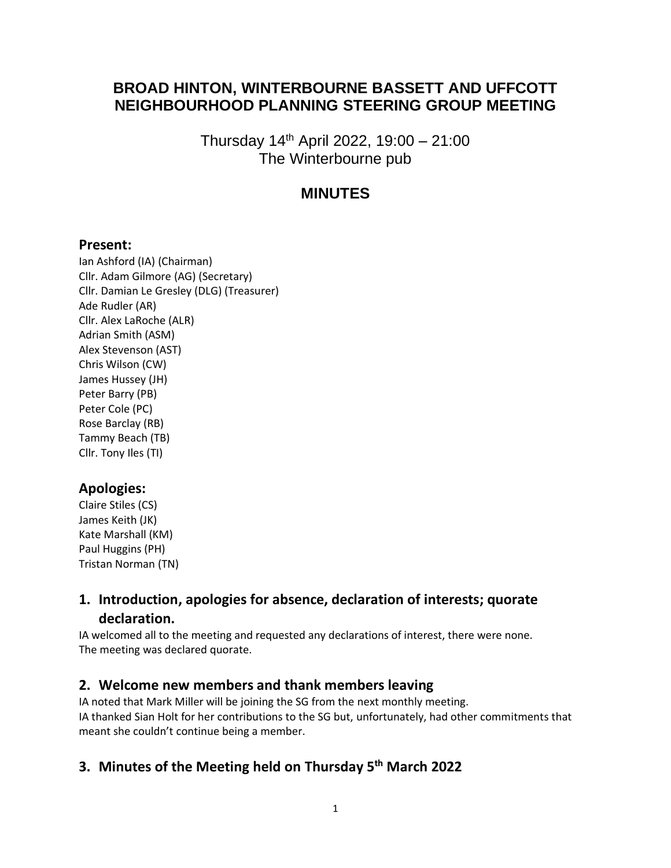# **BROAD HINTON, WINTERBOURNE BASSETT AND UFFCOTT NEIGHBOURHOOD PLANNING STEERING GROUP MEETING**

Thursday 14th April 2022, 19:00 – 21:00 The Winterbourne pub

# **MINUTES**

### **Present:**

Ian Ashford (IA) (Chairman) Cllr. Adam Gilmore (AG) (Secretary) Cllr. Damian Le Gresley (DLG) (Treasurer) Ade Rudler (AR) Cllr. Alex LaRoche (ALR) Adrian Smith (ASM) Alex Stevenson (AST) Chris Wilson (CW) James Hussey (JH) Peter Barry (PB) Peter Cole (PC) Rose Barclay (RB) Tammy Beach (TB) Cllr. Tony Iles (TI)

## **Apologies:**

Claire Stiles (CS) James Keith (JK) Kate Marshall (KM) Paul Huggins (PH) Tristan Norman (TN)

## **1. Introduction, apologies for absence, declaration of interests; quorate declaration.**

IA welcomed all to the meeting and requested any declarations of interest, there were none. The meeting was declared quorate.

## **2. Welcome new members and thank members leaving**

IA noted that Mark Miller will be joining the SG from the next monthly meeting. IA thanked Sian Holt for her contributions to the SG but, unfortunately, had other commitments that meant she couldn't continue being a member.

# **3. Minutes of the Meeting held on Thursday 5th March 2022**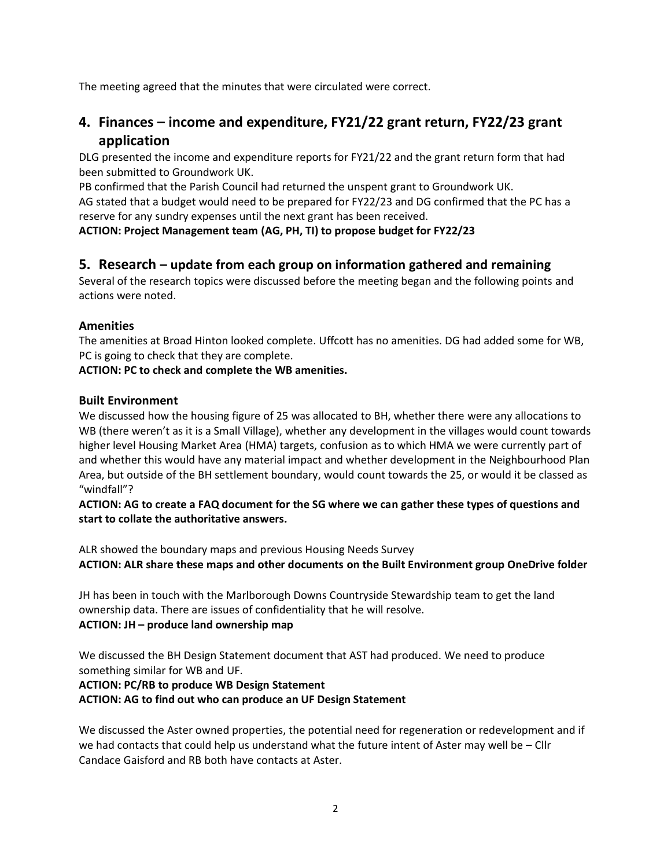The meeting agreed that the minutes that were circulated were correct.

# **4. Finances – income and expenditure, FY21/22 grant return, FY22/23 grant application**

DLG presented the income and expenditure reports for FY21/22 and the grant return form that had been submitted to Groundwork UK.

PB confirmed that the Parish Council had returned the unspent grant to Groundwork UK.

AG stated that a budget would need to be prepared for FY22/23 and DG confirmed that the PC has a reserve for any sundry expenses until the next grant has been received.

**ACTION: Project Management team (AG, PH, TI) to propose budget for FY22/23**

### **5. Research – update from each group on information gathered and remaining**

Several of the research topics were discussed before the meeting began and the following points and actions were noted.

#### **Amenities**

The amenities at Broad Hinton looked complete. Uffcott has no amenities. DG had added some for WB, PC is going to check that they are complete.

#### **ACTION: PC to check and complete the WB amenities.**

#### **Built Environment**

We discussed how the housing figure of 25 was allocated to BH, whether there were any allocations to WB (there weren't as it is a Small Village), whether any development in the villages would count towards higher level Housing Market Area (HMA) targets, confusion as to which HMA we were currently part of and whether this would have any material impact and whether development in the Neighbourhood Plan Area, but outside of the BH settlement boundary, would count towards the 25, or would it be classed as "windfall"?

#### **ACTION: AG to create a FAQ document for the SG where we can gather these types of questions and start to collate the authoritative answers.**

ALR showed the boundary maps and previous Housing Needs Survey **ACTION: ALR share these maps and other documents on the Built Environment group OneDrive folder**

JH has been in touch with the Marlborough Downs Countryside Stewardship team to get the land ownership data. There are issues of confidentiality that he will resolve. **ACTION: JH – produce land ownership map**

We discussed the BH Design Statement document that AST had produced. We need to produce something similar for WB and UF.

#### **ACTION: PC/RB to produce WB Design Statement ACTION: AG to find out who can produce an UF Design Statement**

We discussed the Aster owned properties, the potential need for regeneration or redevelopment and if we had contacts that could help us understand what the future intent of Aster may well be – Cllr Candace Gaisford and RB both have contacts at Aster.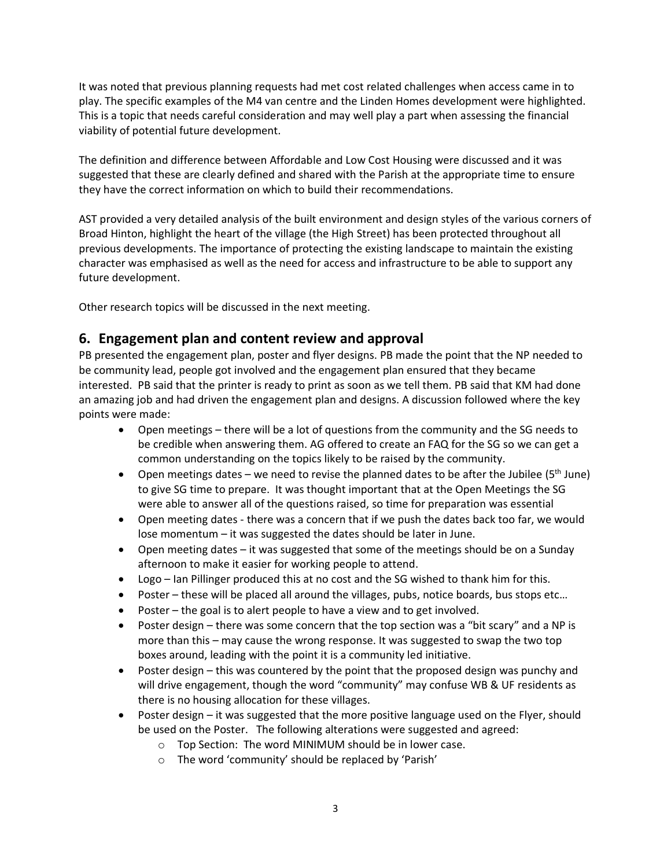It was noted that previous planning requests had met cost related challenges when access came in to play. The specific examples of the M4 van centre and the Linden Homes development were highlighted. This is a topic that needs careful consideration and may well play a part when assessing the financial viability of potential future development.

The definition and difference between Affordable and Low Cost Housing were discussed and it was suggested that these are clearly defined and shared with the Parish at the appropriate time to ensure they have the correct information on which to build their recommendations.

AST provided a very detailed analysis of the built environment and design styles of the various corners of Broad Hinton, highlight the heart of the village (the High Street) has been protected throughout all previous developments. The importance of protecting the existing landscape to maintain the existing character was emphasised as well as the need for access and infrastructure to be able to support any future development.

Other research topics will be discussed in the next meeting.

## **6. Engagement plan and content review and approval**

PB presented the engagement plan, poster and flyer designs. PB made the point that the NP needed to be community lead, people got involved and the engagement plan ensured that they became interested. PB said that the printer is ready to print as soon as we tell them. PB said that KM had done an amazing job and had driven the engagement plan and designs. A discussion followed where the key points were made:

- Open meetings there will be a lot of questions from the community and the SG needs to be credible when answering them. AG offered to create an FAQ for the SG so we can get a common understanding on the topics likely to be raised by the community.
- Open meetings dates we need to revise the planned dates to be after the Jubilee ( $5<sup>th</sup>$  June) to give SG time to prepare. It was thought important that at the Open Meetings the SG were able to answer all of the questions raised, so time for preparation was essential
- Open meeting dates there was a concern that if we push the dates back too far, we would lose momentum – it was suggested the dates should be later in June.
- Open meeting dates it was suggested that some of the meetings should be on a Sunday afternoon to make it easier for working people to attend.
- Logo Ian Pillinger produced this at no cost and the SG wished to thank him for this.
- Poster these will be placed all around the villages, pubs, notice boards, bus stops etc...
- Poster the goal is to alert people to have a view and to get involved.
- Poster design there was some concern that the top section was a "bit scary" and a NP is more than this – may cause the wrong response. It was suggested to swap the two top boxes around, leading with the point it is a community led initiative.
- Poster design this was countered by the point that the proposed design was punchy and will drive engagement, though the word "community" may confuse WB & UF residents as there is no housing allocation for these villages.
- Poster design it was suggested that the more positive language used on the Flyer, should be used on the Poster. The following alterations were suggested and agreed:
	- o Top Section: The word MINIMUM should be in lower case.
	- o The word 'community' should be replaced by 'Parish'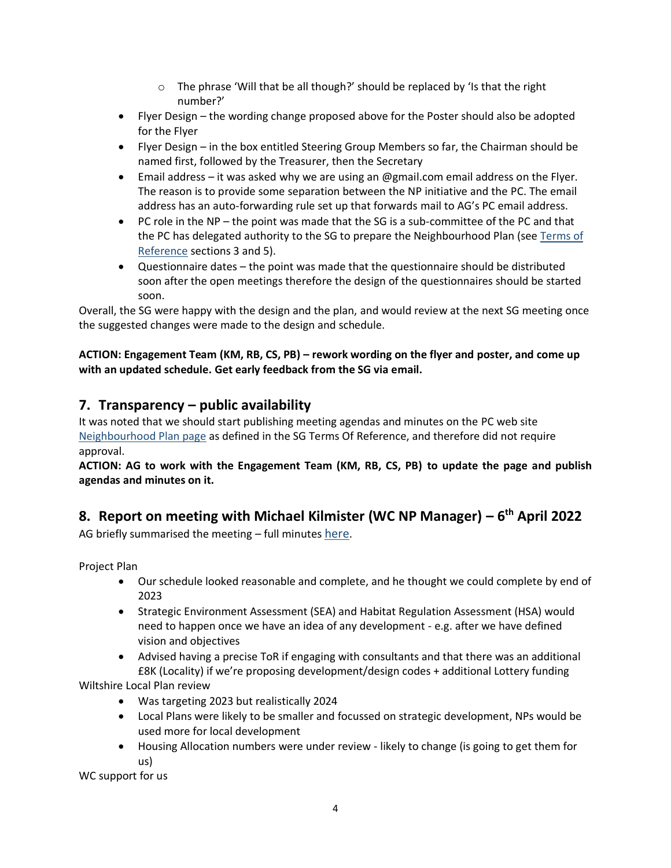- $\circ$  The phrase 'Will that be all though?' should be replaced by 'Is that the right number?'
- Flyer Design the wording change proposed above for the Poster should also be adopted for the Flyer
- Flyer Design in the box entitled Steering Group Members so far, the Chairman should be named first, followed by the Treasurer, then the Secretary
- Email address it was asked why we are using an @gmail.com email address on the Flyer. The reason is to provide some separation between the NP initiative and the PC. The email address has an auto-forwarding rule set up that forwards mail to AG's PC email address.
- PC role in the NP the point was made that the SG is a sub-committee of the PC and that the PC has delegated authority to the SG to prepare the Neighbourhood Plan (see [Terms of](https://www.bhwbparishcouncil.org.uk/_files/ugd/1adbd5_725697184f834aeba39b0b304019b69b.pdf)  [Reference](https://www.bhwbparishcouncil.org.uk/_files/ugd/1adbd5_725697184f834aeba39b0b304019b69b.pdf) sections 3 and 5).
- Questionnaire dates the point was made that the questionnaire should be distributed soon after the open meetings therefore the design of the questionnaires should be started soon.

Overall, the SG were happy with the design and the plan, and would review at the next SG meeting once the suggested changes were made to the design and schedule.

**ACTION: Engagement Team (KM, RB, CS, PB) – rework wording on the flyer and poster, and come up with an updated schedule. Get early feedback from the SG via email.**

## **7. Transparency – public availability**

It was noted that we should start publishing meeting agendas and minutes on the PC web site [Neighbourhood Plan page](https://www.bhwbparishcouncil.org.uk/neighbourhood-plan) as defined in the SG Terms Of Reference, and therefore did not require approval.

**ACTION: AG to work with the Engagement Team (KM, RB, CS, PB) to update the page and publish agendas and minutes on it.**

# **8. Report on meeting with Michael Kilmister (WC NP Manager) – 6 th April 2022**

AG briefly summarised the meeting – full minutes [here](https://bhwbpc.sharepoint.com/:w:/r/sites/NeighbourhoodPlan/Shared%20Documents/Meeting%20Agendas%20and%20Minutes/WC%20NP%20Team%20Meeting%20Minutes%20060422%20(Draft).docx?d=wad21013faa304879bc114fcab7f7ea1c&csf=1&web=1&e=pPkA2w).

Project Plan

- Our schedule looked reasonable and complete, and he thought we could complete by end of 2023
- Strategic Environment Assessment (SEA) and Habitat Regulation Assessment (HSA) would need to happen once we have an idea of any development - e.g. after we have defined vision and objectives
- Advised having a precise ToR if engaging with consultants and that there was an additional £8K (Locality) if we're proposing development/design codes + additional Lottery funding

Wiltshire Local Plan review

- Was targeting 2023 but realistically 2024
- Local Plans were likely to be smaller and focussed on strategic development, NPs would be used more for local development
- Housing Allocation numbers were under review likely to change (is going to get them for us)

WC support for us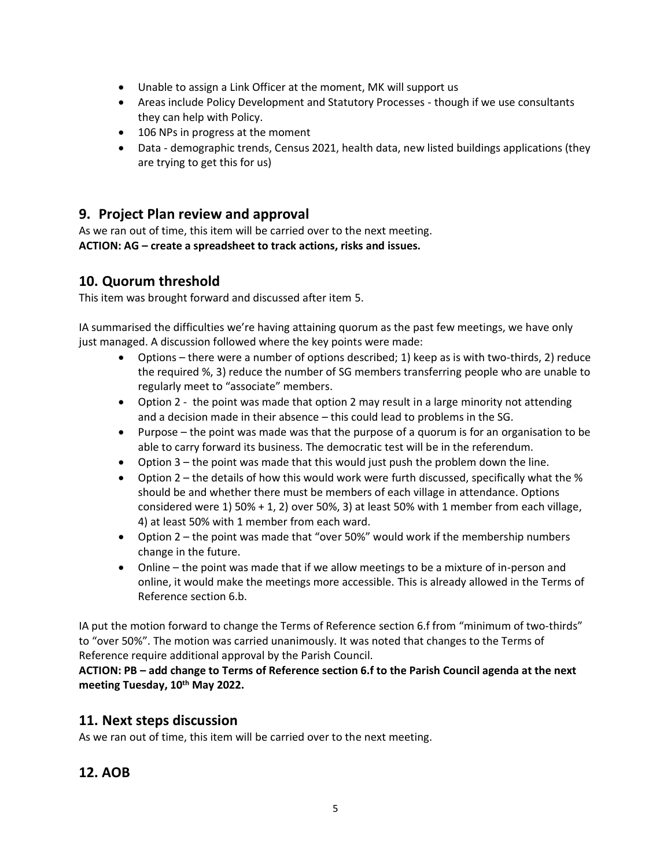- Unable to assign a Link Officer at the moment, MK will support us
- Areas include Policy Development and Statutory Processes though if we use consultants they can help with Policy.
- 106 NPs in progress at the moment
- Data demographic trends, Census 2021, health data, new listed buildings applications (they are trying to get this for us)

### **9. Project Plan review and approval**

As we ran out of time, this item will be carried over to the next meeting. **ACTION: AG – create a spreadsheet to track actions, risks and issues.** 

### **10. Quorum threshold**

This item was brought forward and discussed after item 5.

IA summarised the difficulties we're having attaining quorum as the past few meetings, we have only just managed. A discussion followed where the key points were made:

- Options there were a number of options described; 1) keep as is with two-thirds, 2) reduce the required %, 3) reduce the number of SG members transferring people who are unable to regularly meet to "associate" members.
- Option 2 the point was made that option 2 may result in a large minority not attending and a decision made in their absence – this could lead to problems in the SG.
- Purpose the point was made was that the purpose of a quorum is for an organisation to be able to carry forward its business. The democratic test will be in the referendum.
- Option 3 the point was made that this would just push the problem down the line.
- Option  $2$  the details of how this would work were furth discussed, specifically what the  $%$ should be and whether there must be members of each village in attendance. Options considered were 1) 50% + 1, 2) over 50%, 3) at least 50% with 1 member from each village, 4) at least 50% with 1 member from each ward.
- Option 2 the point was made that "over 50%" would work if the membership numbers change in the future.
- Online the point was made that if we allow meetings to be a mixture of in-person and online, it would make the meetings more accessible. This is already allowed in the Terms of Reference section 6.b.

IA put the motion forward to change the Terms of Reference section 6.f from "minimum of two-thirds" to "over 50%". The motion was carried unanimously. It was noted that changes to the Terms of Reference require additional approval by the Parish Council.

**ACTION: PB – add change to Terms of Reference section 6.f to the Parish Council agenda at the next meeting Tuesday, 10th May 2022.** 

### **11. Next steps discussion**

As we ran out of time, this item will be carried over to the next meeting.

## **12. AOB**